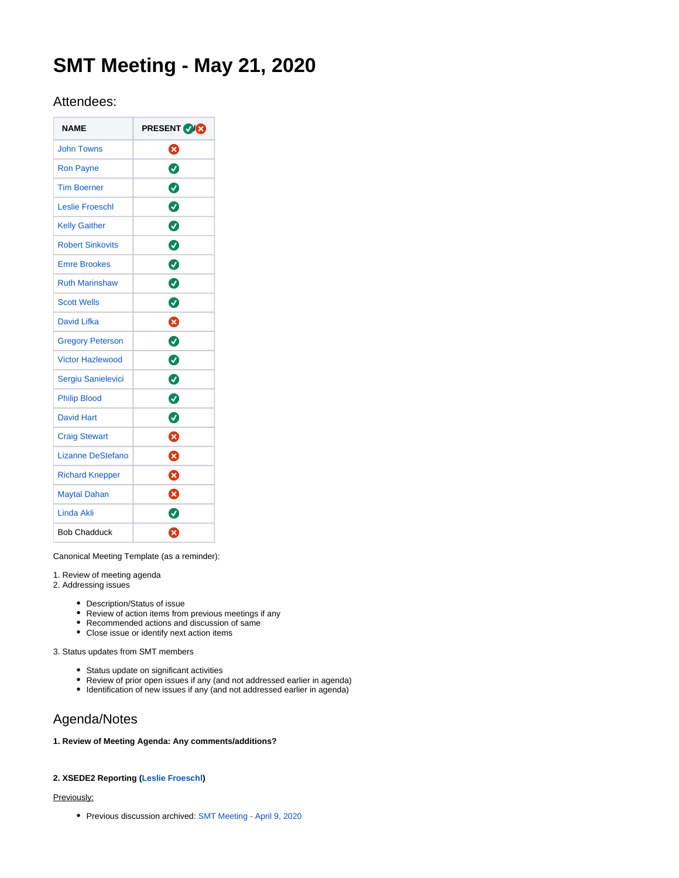# **SMT Meeting - May 21, 2020**

# Attendees:

| <b>NAME</b>              | <b>PRESENT VICE</b> |  |  |
|--------------------------|---------------------|--|--|
| <b>John Towns</b>        | ظ                   |  |  |
| <b>Ron Payne</b>         | ◙                   |  |  |
| <b>Tim Boerner</b>       | Ø                   |  |  |
| <b>Leslie Froeschl</b>   | Ø                   |  |  |
| <b>Kelly Gaither</b>     | 0                   |  |  |
| <b>Robert Sinkovits</b>  | ◙                   |  |  |
| <b>Emre Brookes</b>      | 0                   |  |  |
| <b>Ruth Marinshaw</b>    | Ø                   |  |  |
| <b>Scott Wells</b>       | Ø                   |  |  |
| David Lifka              | ❸                   |  |  |
| <b>Gregory Peterson</b>  | Ø                   |  |  |
| <b>Victor Hazlewood</b>  | 0                   |  |  |
| Sergiu Sanielevici       | 0                   |  |  |
| <b>Philip Blood</b>      | Ø                   |  |  |
| <b>David Hart</b>        | ◙                   |  |  |
| <b>Craig Stewart</b>     | ظ                   |  |  |
| <b>Lizanne DeStefano</b> | ظ                   |  |  |
| <b>Richard Knepper</b>   | ❸                   |  |  |
| <b>Maytal Dahan</b>      | ೞ                   |  |  |
| Linda Akli               | Ø                   |  |  |
| <b>Bob Chadduck</b>      | Ω                   |  |  |

Canonical Meeting Template (as a reminder):

1. Review of meeting agenda

2. Addressing issues

- Description/Status of issue
- Review of action items from previous meetings if any
- Recommended actions and discussion of same
- Close issue or identify next action items

3. Status updates from SMT members

- Status update on significant activities
- Review of prior open issues if any (and not addressed earlier in agenda)
- Identification of new issues if any (and not addressed earlier in agenda)

# Agenda/Notes

# **1. Review of Meeting Agenda: Any comments/additions?**

# **2. XSEDE2 Reporting [\(Leslie Froeschl\)](https://confluence.xsede.org/display/~lfroesch)**

# Previously:

Previous discussion archived: [SMT Meeting - April 9, 2020](https://confluence.xsede.org/display/XT/SMT+Meeting+-+April+9%2C+2020)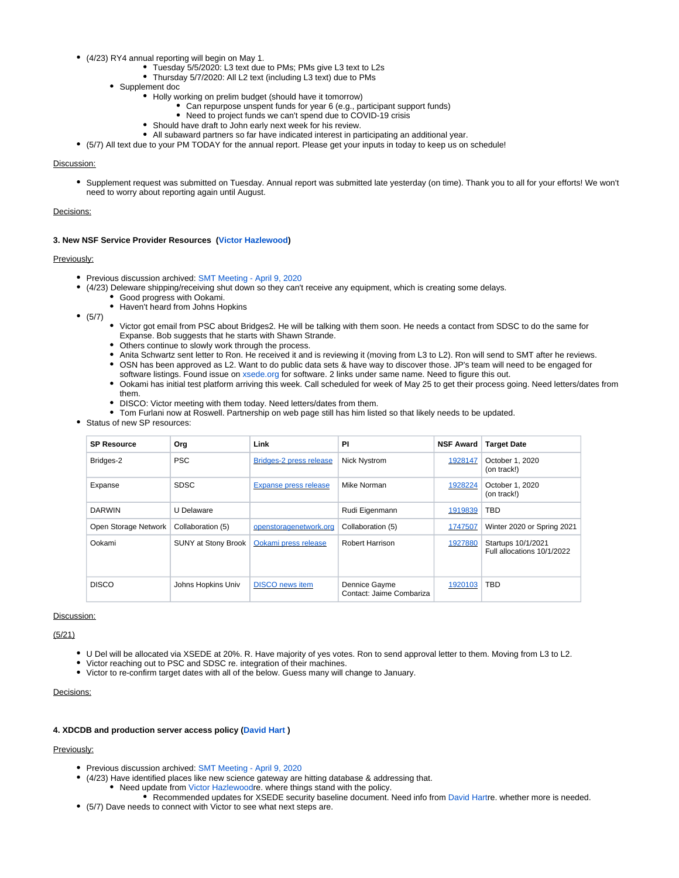- (4/23) RY4 annual reporting will begin on May 1.
	- Tuesday 5/5/2020: L3 text due to PMs; PMs give L3 text to L2s
	- Thursday 5/7/2020: All L2 text (including L3 text) due to PMs
	- Supplement doc
		- Holly working on prelim budget (should have it tomorrow)
			- Can repurpose unspent funds for year 6 (e.g., participant support funds)
			- Need to project funds we can't spend due to COVID-19 crisis
		- Should have draft to John early next week for his review.
		- All subaward partners so far have indicated interest in participating an additional year.
- (5/7) All text due to your PM TODAY for the annual report. Please get your inputs in today to keep us on schedule!

### Discussion:

Supplement request was submitted on Tuesday. Annual report was submitted late yesterday (on time). Thank you to all for your efforts! We won't need to worry about reporting again until August.

# Decisions:

#### **3. New NSF Service Provider Resources [\(Victor Hazlewood\)](https://confluence.xsede.org/display/~victorh)**

#### Previously:

- Previous discussion archived: [SMT Meeting April 9, 2020](https://confluence.xsede.org/display/XT/SMT+Meeting+-+April+9%2C+2020)
- (4/23) Deleware shipping/receiving shut down so they can't receive any equipment, which is creating some delays.
	- Good progress with Ookami.
	- Haven't heard from Johns Hopkins
- $(5/7)$
- Victor got email from PSC about Bridges2. He will be talking with them soon. He needs a contact from SDSC to do the same for Expanse. Bob suggests that he starts with Shawn Strande.
- Others continue to slowly work through the process.
- Anita Schwartz sent letter to Ron. He received it and is reviewing it (moving from L3 to L2). Ron will send to SMT after he reviews. OSN has been approved as L2. Want to do public data sets & have way to discover those. JP's team will need to be engaged for software listings. Found issue on [xsede.org](http://xsede.org) for software. 2 links under same name. Need to figure this out.
- . Ookami has initial test platform arriving this week. Call scheduled for week of May 25 to get their process going. Need letters/dates from them.
- DISCO: Victor meeting with them today. Need letters/dates from them.
- Tom Furlani now at Roswell. Partnership on web page still has him listed so that likely needs to be updated.
- Status of new SP resources:

| <b>SP Resource</b>   | Org                 | Link                         | PI                                        | <b>NSF Award</b> | <b>Target Date</b>                               |
|----------------------|---------------------|------------------------------|-------------------------------------------|------------------|--------------------------------------------------|
| Bridges-2            | <b>PSC</b>          | Bridges-2 press release      | <b>Nick Nystrom</b>                       | 1928147          | October 1, 2020<br>(on track!)                   |
| Expanse              | <b>SDSC</b>         | <b>Expanse press release</b> | Mike Norman                               | 1928224          | October 1, 2020<br>(on track!)                   |
| <b>DARWIN</b>        | U Delaware          |                              | Rudi Eigenmann                            | 1919839          | <b>TBD</b>                                       |
| Open Storage Network | Collaboration (5)   | openstoragenetwork.org       | Collaboration (5)                         | 1747507          | Winter 2020 or Spring 2021                       |
| Ookami               | SUNY at Stony Brook | Ookami press release         | Robert Harrison                           | 1927880          | Startups 10/1/2021<br>Full allocations 10/1/2022 |
| <b>DISCO</b>         | Johns Hopkins Univ  | <b>DISCO</b> news item       | Dennice Gayme<br>Contact: Jaime Combariza | 1920103          | TBD                                              |

#### Discussion:

(5/21)

- U Del will be allocated via XSEDE at 20%. R. Have majority of yes votes. Ron to send approval letter to them. Moving from L3 to L2.
- Victor reaching out to PSC and SDSC re. integration of their machines.
- Victor to re-confirm target dates with all of the below. Guess many will change to January.

# Decisions:

# **4. XDCDB and production server access policy ([David Hart](https://confluence.xsede.org/display/~davidlh) )**

# Previously:

- **Previous discussion archived: [SMT Meeting April 9, 2020](https://confluence.xsede.org/display/XT/SMT+Meeting+-+April+9%2C+2020)**
- (4/23) Have identified places like new science gateway are hitting database & addressing that.
	- Need update from [Victor Hazlewood](https://confluence.xsede.org/display/~victorh)re. where things stand with the policy.
- Recommended updates for XSEDE security baseline document. Need info from [David Hartr](https://confluence.xsede.org/display/~davidlh)e. whether more is needed. (5/7) Dave needs to connect with Victor to see what next steps are.